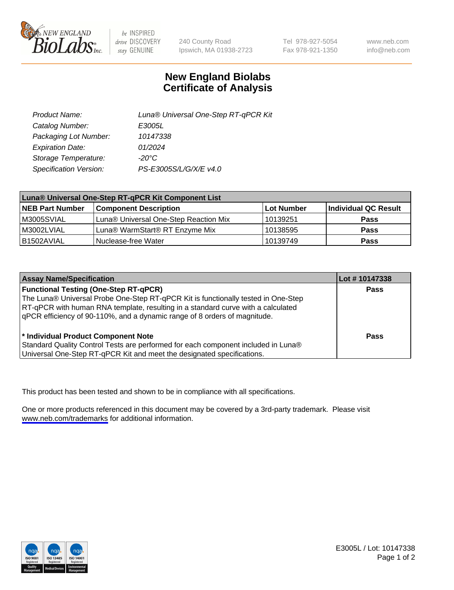

be INSPIRED drive DISCOVERY stay GENUINE

240 County Road Ipswich, MA 01938-2723 Tel 978-927-5054 Fax 978-921-1350

www.neb.com info@neb.com

## **New England Biolabs Certificate of Analysis**

| Product Name:           | Luna® Universal One-Step RT-qPCR Kit |  |
|-------------------------|--------------------------------------|--|
| Catalog Number:         | E3005L                               |  |
| Packaging Lot Number:   | 10147338                             |  |
| <b>Expiration Date:</b> | 01/2024                              |  |
| Storage Temperature:    | $-20^{\circ}$ C                      |  |
| Specification Version:  | PS-E3005S/L/G/X/E v4.0               |  |

| Luna® Universal One-Step RT-qPCR Kit Component List |                                       |            |                      |  |
|-----------------------------------------------------|---------------------------------------|------------|----------------------|--|
| <b>NEB Part Number</b>                              | <b>Component Description</b>          | Lot Number | Individual QC Result |  |
| M3005SVIAL                                          | Luna® Universal One-Step Reaction Mix | 10139251   | Pass                 |  |
| M3002LVIAL                                          | Luna® WarmStart® RT Enzyme Mix        | 10138595   | <b>Pass</b>          |  |
| B1502AVIAL                                          | Nuclease-free Water                   | 10139749   | <b>Pass</b>          |  |

| <b>Assay Name/Specification</b>                                                   | Lot # 10147338 |
|-----------------------------------------------------------------------------------|----------------|
| <b>Functional Testing (One-Step RT-qPCR)</b>                                      | <b>Pass</b>    |
| The Luna® Universal Probe One-Step RT-qPCR Kit is functionally tested in One-Step |                |
| RT-qPCR with human RNA template, resulting in a standard curve with a calculated  |                |
| gPCR efficiency of 90-110%, and a dynamic range of 8 orders of magnitude.         |                |
|                                                                                   |                |
| <sup>*</sup> Individual Product Component Note                                    | Pass           |
| Standard Quality Control Tests are performed for each component included in Luna® |                |
| Universal One-Step RT-qPCR Kit and meet the designated specifications.            |                |

This product has been tested and shown to be in compliance with all specifications.

One or more products referenced in this document may be covered by a 3rd-party trademark. Please visit <www.neb.com/trademarks>for additional information.